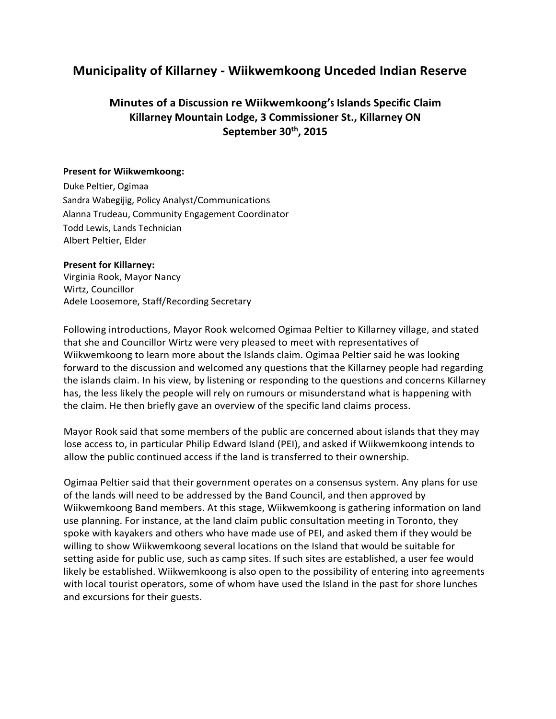# **Municipality of Killarney - Wiikwemkoong Unceded Indian Reserve**

## **Minutes of a Discussion re Wiikwemkoong's Islands Specific Claim Killarney Mountain Lodge, 3 Commissioner St., Killarney ON September 30th, 2015**

#### **Present for Wiikwemkoong:**

Duke Peltier, Ogimaa Sandra Wabegijig, Policy Analyst/Communications Alanna Trudeau, Community Engagement Coordinator Todd Lewis, Lands Technician Albert Peltier, Elder

#### **Present for Killarney:**

Virginia Rook, Mayor Nancy Wirtz, Councillor Adele Loosemore, Staff/Recording Secretary

 Following introductions, Mayor Rook welcomed Ogimaa Peltier to Killarney village, and stated that she and Councillor Wirtz were very pleased to meet with representatives of Wiikwemkoong to learn more about the Islands claim. Ogimaa Peltier said he was looking forward to the discussion and welcomed any questions that the Killarney people had regarding the claim. He then briefly gave an overview of the specific land claims process. the islands claim. In his view, by listening or responding to the questions and concerns Killarney has, the less likely the people will rely on rumours or misunderstand what is happening with

 Mayor Rook said that some members of the public are concerned about islands that they may lose access to, in particular Philip Edward Island (PEI), and asked if Wiikwemkoong intends to allow the public continued access if the land is transferred to their ownership.

 use planning. For instance, at the land claim public consultation meeting in Toronto, they spoke with kayakers and others who have made use of PEI, and asked them if they would be willing to show Wiikwemkoong several locations on the Island that would be suitable for setting aside for public use, such as camp sites. If such sites are established, a user fee would likely be established. Wiikwemkoong is also open to the possibility of entering into agreements Ogimaa Peltier said that their government operates on a consensus system. Any plans for use of the lands will need to be addressed by the Band Council, and then approved by Wiikwemkoong Band members. At this stage, Wiikwemkoong is gathering information on land with local tourist operators, some of whom have used the Island in the past for shore lunches and excursions for their guests.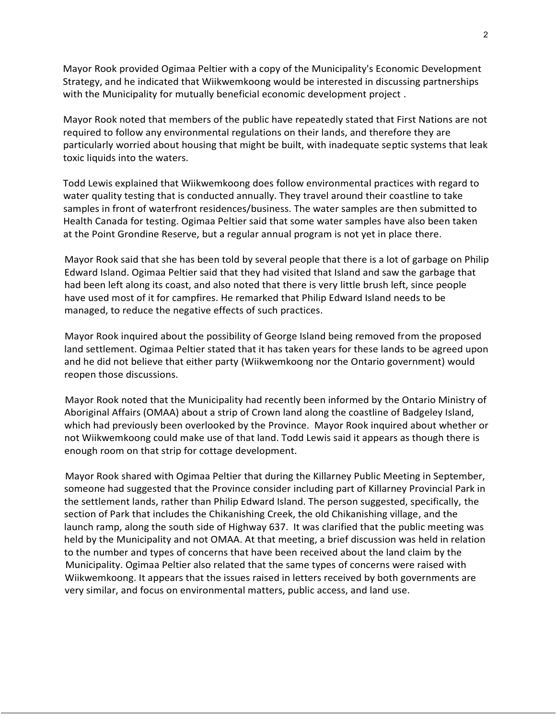Strategy, and he indicated that Wiikwemkoong would be interested in discussing partnerships Mayor Rook provided Ogimaa Peltier with a copy of the Municipality's Economic Development with the Municipality for mutually beneficial economic development project .

 Mayor Rook noted that members of the public have repeatedly stated that First Nations are not required to follow any environmental regulations on their lands, and therefore they are particularly worried about housing that might be built, with inadequate septic systems that leak toxic liquids into the waters.

 Todd Lewis explained that Wiikwemkoong does follow environmental practices with regard to samples in front of waterfront residences/business. The water samples are then submitted to Health Canada for testing. Ogimaa Peltier said that some water samples have also been taken at the Point Grondine Reserve, but a regular annual program is not yet in place there. water quality testing that is conducted annually. They travel around their coastline to take

 Mayor Rook said that she has been told by several people that there is a lot of garbage on Philip Edward Island. Ogimaa Peltier said that they had visited that Island and saw the garbage that had been left along its coast, and also noted that there is very little brush left, since people have used most of it for campfires. He remarked that Philip Edward Island needs to be managed, to reduce the negative effects of such practices.

 Mayor Rook inquired about the possibility of George Island being removed from the proposed land settlement. Ogimaa Peltier stated that it has taken years for these lands to be agreed upon and he did not believe that either party (Wiikwemkoong nor the Ontario government) would reopen those discussions.

 Mayor Rook noted that the Municipality had recently been informed by the Ontario Ministry of Aboriginal Affairs (OMAA) about a strip of Crown land along the coastline of Badgeley Island, which had previously been overlooked by the Province. Mayor Rook inquired about whether or not Wiikwemkoong could make use of that land. Todd Lewis said it appears as though there is enough room on that strip for cottage development.

Mayor Rook shared with Ogimaa Peltier that during the Killarney Public Meeting in September, someone had suggested that the Province consider including part of Killarney Provincial Park in the settlement lands, rather than Philip Edward Island. The person suggested, specifically, the section of Park that includes the Chikanishing Creek, the old Chikanishing village, and the launch ramp, along the south side of Highway 637. It was clarified that the public meeting was held by the Municipality and not OMAA. At that meeting, a brief discussion was held in relation to the number and types of concerns that have been received about the land claim by the Municipality. Ogimaa Peltier also related that the same types of concerns were raised with Wiikwemkoong. It appears that the issues raised in letters received by both governments are very similar, and focus on environmental matters, public access, and land use.